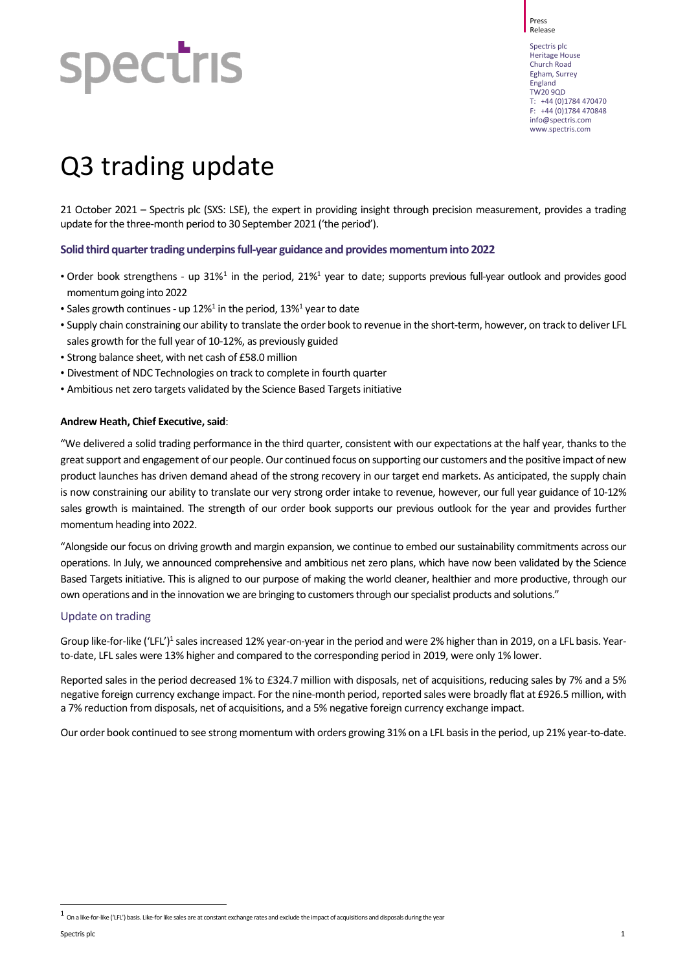#### Press Release

**spectris** 

Spectris plc Heritage House Church Road Egham, Surrey England TW20 9QD T: +44 (0)1784 470470  $F: +44 (0)1784 470848$ [info@spectris.com](mailto:info@spectris.com) www.spectris.com

# Q3 trading update

21 October 2021 – Spectris plc (SXS: LSE), the expert in providing insight through precision measurement, provides a trading update for the three-month period to 30 September 2021 ('the period').

## **Solid third quarter trading underpins full-year guidance and provides momentum into 2022**

- Order book strengthens up 3[1](#page-0-0)%<sup>1</sup> in the period, 21%<sup>1</sup> year to date; supports previous full-year outlook and provides good momentum going into 2022
- Sales growth continues up  $12\%$ <sup>1</sup> in the period,  $13\%$ <sup>1</sup> year to date
- Supply chain constraining our ability to translate the order book to revenue in the short-term, however, on track to deliver LFL sales growth for the full year of 10-12%, as previously guided
- Strong balance sheet, with net cash of £58.0 million
- Divestment of NDC Technologies on track to complete in fourth quarter
- Ambitious net zero targets validated by the Science Based Targets initiative

## **Andrew Heath, Chief Executive, said**:

"We delivered a solid trading performance in the third quarter, consistent with our expectations at the half year, thanks to the great support and engagement of our people. Our continued focus on supporting our customers and the positive impact of new product launches has driven demand ahead of the strong recovery in our target end markets. As anticipated, the supply chain is now constraining our ability to translate our very strong order intake to revenue, however, our full year guidance of 10-12% sales growth is maintained. The strength of our order book supports our previous outlook for the year and provides further momentum heading into 2022.

"Alongside our focus on driving growth and margin expansion, we continue to embed our sustainability commitments across our operations. In July, we announced comprehensive and ambitious net zero plans, which have now been validated by the Science Based Targets initiative. This is aligned to our purpose of making the world cleaner, healthier and more productive, through our own operations and in the innovation we are bringing to customers through our specialist products and solutions."

## Update on trading

Group like-for-like ('LFL')<sup>1</sup> sales increased 12% year-on-year in the period and were 2% higher than in 2019, on a LFL basis. Yearto-date, LFL sales were 13% higher and compared to the corresponding period in 2019, were only 1% lower.

Reported sales in the period decreased 1% to £324.7 million with disposals, net of acquisitions, reducing sales by 7% and a 5% negative foreign currency exchange impact. For the nine-month period, reported sales were broadly flat at £926.5 million, with a 7% reduction from disposals, net of acquisitions, and a 5% negative foreign currency exchange impact.

Our order book continued to see strong momentum with orders growing 31% on a LFL basis in the period, up 21% year-to-date.

j

<span id="page-0-0"></span>On a like-for-like ('LFL') basis. Like-for like sales are at constant exchange rates and exclude the impact of acquisitions and disposals during the year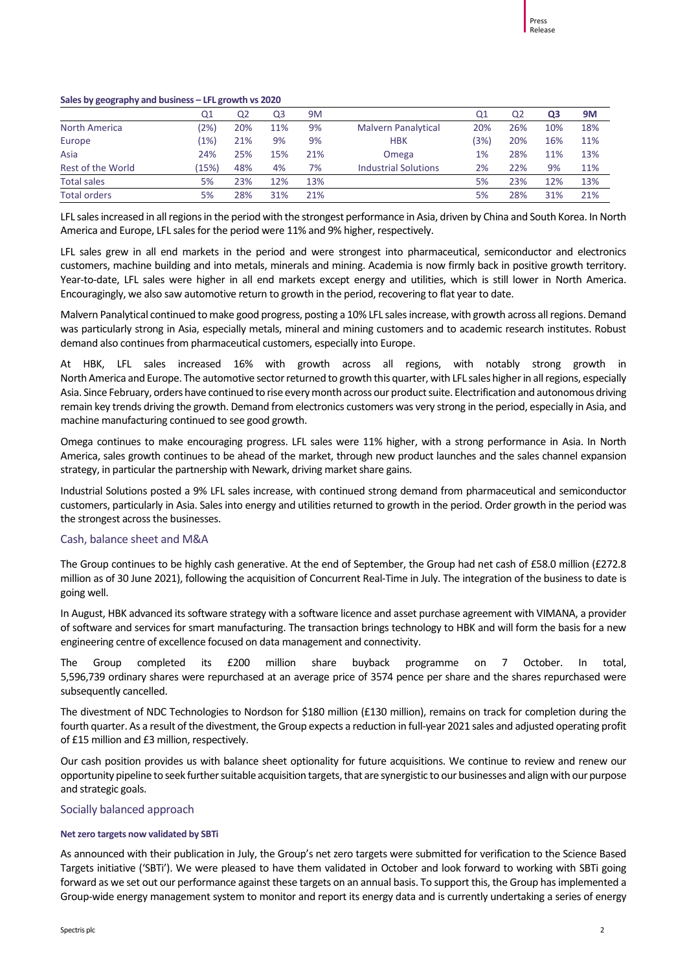#### **Sales by geography and business – LFL growth vs 2020**

|                      | Q1             | Q <sub>2</sub> | Q3  | 9M  |                             | Q1   | Q2  | Q <sub>3</sub> | <b>9M</b> |
|----------------------|----------------|----------------|-----|-----|-----------------------------|------|-----|----------------|-----------|
| <b>North America</b> | $^{\prime}2\%$ | 20%            | 11% | 9%  | <b>Malvern Panalytical</b>  | 20%  | 26% | 10%            | 18%       |
| Europe               | $1\%$          | 21%            | 9%  | 9%  | <b>HBK</b>                  | (3%) | 20% | 16%            | 11%       |
| Asia                 | 24%            | 25%            | 15% | 21% | Omega                       | 1%   | 28% | 11%            | 13%       |
| Rest of the World    | (15%)          | 48%            | 4%  | 7%  | <b>Industrial Solutions</b> | 2%   | 22% | 9%             | 11%       |
| <b>Total sales</b>   | 5%             | 23%            | 12% | 13% |                             | 5%   | 23% | 12%            | 13%       |
| <b>Total orders</b>  | 5%             | 28%            | 31% | 21% |                             | 5%   | 28% | 31%            | 21%       |

LFL sales increased in all regions in the period with the strongest performance in Asia, driven by China and South Korea. In North America and Europe, LFL sales for the period were 11% and 9% higher, respectively.

LFL sales grew in all end markets in the period and were strongest into pharmaceutical, semiconductor and electronics customers, machine building and into metals, minerals and mining. Academia is now firmly back in positive growth territory. Year-to-date, LFL sales were higher in all end markets except energy and utilities, which is still lower in North America. Encouragingly, we also saw automotive return to growth in the period, recovering to flat year to date.

Malvern Panalytical continued to make good progress, posting a 10% LFL sales increase, with growth across all regions. Demand was particularly strong in Asia, especially metals, mineral and mining customers and to academic research institutes. Robust demand also continues from pharmaceutical customers, especially into Europe.

At HBK, LFL sales increased 16% with growth across all regions, with notably strong growth in North America and Europe. The automotive sector returned to growth this quarter, with LFL sales higher in all regions, especially Asia. Since February, orders have continued to rise every month across our product suite. Electrification and autonomous driving remain key trends driving the growth. Demand from electronics customers was very strong in the period, especially in Asia, and machine manufacturing continued to see good growth.

Omega continues to make encouraging progress. LFL sales were 11% higher, with a strong performance in Asia. In North America, sales growth continues to be ahead of the market, through new product launches and the sales channel expansion strategy, in particular the partnership with Newark, driving market share gains.

Industrial Solutions posted a 9% LFL sales increase, with continued strong demand from pharmaceutical and semiconductor customers, particularly in Asia. Sales into energy and utilities returned to growth in the period. Order growth in the period was the strongest across the businesses.

## Cash, balance sheet and M&A

The Group continues to be highly cash generative. At the end of September, the Group had net cash of £58.0 million (£272.8 million as of 30 June 2021), following the acquisition of Concurrent Real-Time in July. The integration of the business to date is going well.

In August, HBK advanced its software strategy with a software licence and asset purchase agreement with VIMANA, a provider of software and services for smart manufacturing. The transaction brings technology to HBK and will form the basis for a new engineering centre of excellence focused on data management and connectivity.

The Group completed its £200 million share buyback programme on 7 October. In total, 5,596,739 ordinary shares were repurchased at an average price of 3574 pence per share and the shares repurchased were subsequently cancelled.

The divestment of NDC Technologies to Nordson for \$180 million (£130 million), remains on track for completion during the fourth quarter. As a result of the divestment, the Group expects a reduction in full-year 2021 sales and adjusted operating profit of £15 million and £3 million, respectively.

Our cash position provides us with balance sheet optionality for future acquisitions. We continue to review and renew our opportunity pipeline to seek further suitable acquisition targets, that are synergistic to our businesses and align with our purpose and strategic goals.

#### Socially balanced approach

#### **Net zero targets now validated by SBTi**

As announced with their publication in July, the Group's net zero targets were submitted for verification to the Science Based Targets initiative ('SBTi'). We were pleased to have them validated in October and look forward to working with SBTi going forward as we set out our performance against these targets on an annual basis. To support this, the Group has implemented a Group-wide energy management system to monitor and report its energy data and is currently undertaking a series of energy